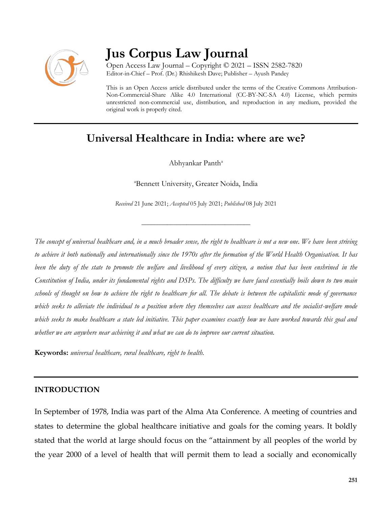

# **Jus Corpus Law Journal**

Open Access Law Journal – Copyright © 2021 – ISSN 2582-7820 Editor-in-Chief – Prof. (Dr.) Rhishikesh Dave; Publisher – Ayush Pandey

This is an Open Access article distributed under the terms of the Creative Commons Attribution-Non-Commercial-Share Alike 4.0 International (CC-BY-NC-SA 4.0) License, which permits unrestricted non-commercial use, distribution, and reproduction in any medium, provided the original work is properly cited.

# **Universal Healthcare in India: where are we?**

Abhyankar Panth<sup>a</sup>

<sup>a</sup>Bennett University, Greater Noida, India

*Received* 21 June 2021; *Accepted* 05 July 2021; *Published* 08 July 2021

\_\_\_\_\_\_\_\_\_\_\_\_\_\_\_\_\_\_\_\_\_\_\_\_\_\_\_\_\_\_\_\_\_\_

*The concept of universal healthcare and, in a much broader sense, the right to healthcare is not a new one. We have been striving to achieve it both nationally and internationally since the 1970s after the formation of the World Health Organisation. It has been the duty of the state to promote the welfare and livelihood of every citizen, a notion that has been enshrined in the Constitution of India, under its fundamental rights and DSPs. The difficulty we have faced essentially boils down to two main schools of thought on how to achieve the right to healthcare for all. The debate is between the capitalistic mode of governance which seeks to alleviate the individual to a position where they themselves can access healthcare and the socialist-welfare mode which seeks to make healthcare a state led initiative. This paper examines exactly how we have worked towards this goal and whether we are anywhere near achieving it and what we can do to improve our current situation.* 

**Keywords:** *universal healthcare, rural healthcare, right to health.*

#### **INTRODUCTION**

In September of 1978, India was part of the Alma Ata Conference. A meeting of countries and states to determine the global healthcare initiative and goals for the coming years. It boldly stated that the world at large should focus on the "attainment by all peoples of the world by the year 2000 of a level of health that will permit them to lead a socially and economically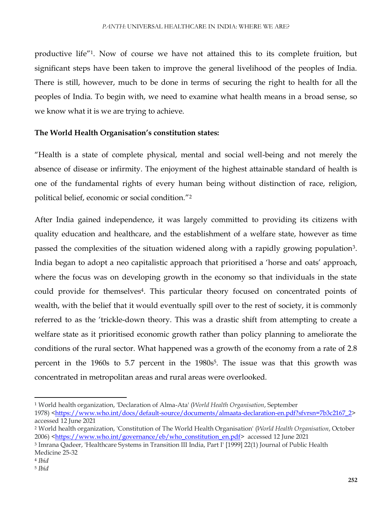productive life"<sup>1</sup> . Now of course we have not attained this to its complete fruition, but significant steps have been taken to improve the general livelihood of the peoples of India. There is still, however, much to be done in terms of securing the right to health for all the peoples of India. To begin with, we need to examine what health means in a broad sense, so we know what it is we are trying to achieve.

### **The World Health Organisation's constitution states:**

"Health is a state of complete physical, mental and social well-being and not merely the absence of disease or infirmity. The enjoyment of the highest attainable standard of health is one of the fundamental rights of every human being without distinction of race, religion, political belief, economic or social condition."<sup>2</sup>

After India gained independence, it was largely committed to providing its citizens with quality education and healthcare, and the establishment of a welfare state, however as time passed the complexities of the situation widened along with a rapidly growing population<sup>3</sup>. India began to adopt a neo capitalistic approach that prioritised a 'horse and oats' approach, where the focus was on developing growth in the economy so that individuals in the state could provide for themselves<sup>4</sup>. This particular theory focused on concentrated points of wealth, with the belief that it would eventually spill over to the rest of society, it is commonly referred to as the 'trickle-down theory. This was a drastic shift from attempting to create a welfare state as it prioritised economic growth rather than policy planning to ameliorate the conditions of the rural sector. What happened was a growth of the economy from a rate of 2.8 percent in the 1960s to 5.7 percent in the 1980s<sup>5</sup>. The issue was that this growth was concentrated in metropolitan areas and rural areas were overlooked.

 $\overline{\phantom{a}}$ <sup>1</sup> World health organization, 'Declaration of Alma-Ata' (*World Health Organisation*, September

<sup>1978)</sup> [<https://www.who.int/docs/default-source/documents/almaata-declaration-en.pdf?sfvrsn=7b3c2167\\_2>](https://www.who.int/docs/default-source/documents/almaata-declaration-en.pdf?sfvrsn=7b3c2167_2) accessed 12 June 2021

<sup>2</sup> World health organization, 'Constitution of The World Health Organisation' (*World Health Organisation*, October 2006) [<https://www.who.int/governance/eb/who\\_constitution\\_en.pdf>](https://www.who.int/governance/eb/who_constitution_en.pdf) accessed 12 June 2021

<sup>3</sup> Imrana Qadeer, 'Healthcare Systems in Transition III India, Part I' [1999] 22(1) Journal of Public Health Medicine 25-32

<sup>4</sup> *Ibid*

<sup>5</sup> *Ibid*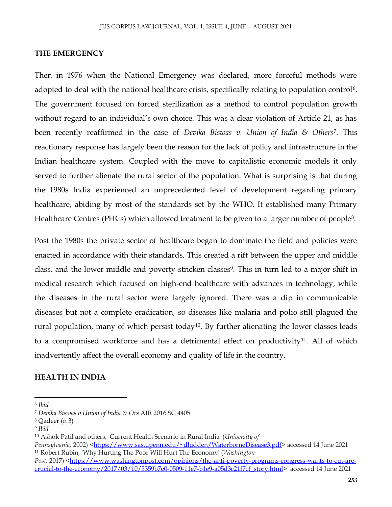#### **THE EMERGENCY**

Then in 1976 when the National Emergency was declared, more forceful methods were adopted to deal with the national healthcare crisis, specifically relating to population control<sup>6</sup>. The government focused on forced sterilization as a method to control population growth without regard to an individual's own choice. This was a clear violation of Article 21, as has been recently reaffirmed in the case of *Devika Biswas v. Union of India & Others<sup>7</sup>* . This reactionary response has largely been the reason for the lack of policy and infrastructure in the Indian healthcare system. Coupled with the move to capitalistic economic models it only served to further alienate the rural sector of the population. What is surprising is that during the 1980s India experienced an unprecedented level of development regarding primary healthcare, abiding by most of the standards set by the WHO. It established many Primary Healthcare Centres (PHCs) which allowed treatment to be given to a larger number of people<sup>8</sup> .

Post the 1980s the private sector of healthcare began to dominate the field and policies were enacted in accordance with their standards. This created a rift between the upper and middle class, and the lower middle and poverty-stricken classes<sup>9</sup>. This in turn led to a major shift in medical research which focused on high-end healthcare with advances in technology, while the diseases in the rural sector were largely ignored. There was a dip in communicable diseases but not a complete eradication, so diseases like malaria and polio still plagued the rural population, many of which persist today<sup>10</sup>. By further alienating the lower classes leads to a compromised workforce and has a detrimental effect on productivity<sup>11</sup>. All of which inadvertently affect the overall economy and quality of life in the country.

#### **HEALTH IN INDIA**

 $\overline{\phantom{a}}$ 

*Pennsylvania*, 2002) [<https://www.sas.upenn.edu/~dludden/WaterborneDisease3.pdf>](https://www.sas.upenn.edu/~dludden/WaterborneDisease3.pdf) accessed 14 June 2021 <sup>11</sup> Robert Rubin, 'Why Hurting The Poor Will Hurt The Economy' (*Washington* 

<sup>6</sup> *Ibid*

<sup>7</sup> *Devika Biswas v Union of India & Ors* AIR 2016 SC 4405

<sup>8</sup> Qadeer (n 3)

<sup>9</sup> *Ibid*

<sup>10</sup> Ashok Patil and others, 'Current Health Scenario in Rural India' (*University of* 

*Post*, 2017) [<https://www.washingtonpost.com/opinions/the-anti-poverty-programs-congress-wants-to-cut-are](https://www.washingtonpost.com/opinions/the-anti-poverty-programs-congress-wants-to-cut-are-crucial-to-the-economy/2017/03/10/5359b7e0-0509-11e7-b1e9-a05d3c21f7cf_story.html)[crucial-to-the-economy/2017/03/10/5359b7e0-0509-11e7-b1e9-a05d3c21f7cf\\_story.html>](https://www.washingtonpost.com/opinions/the-anti-poverty-programs-congress-wants-to-cut-are-crucial-to-the-economy/2017/03/10/5359b7e0-0509-11e7-b1e9-a05d3c21f7cf_story.html) accessed 14 June 2021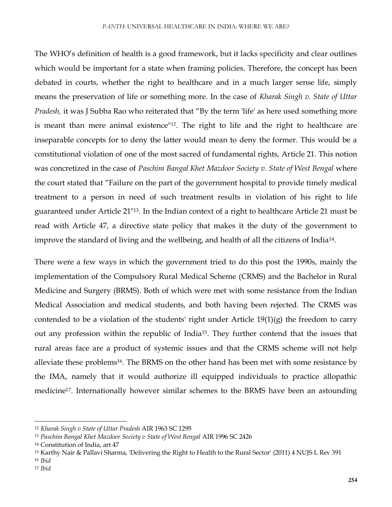The WHO's definition of health is a good framework, but it lacks specificity and clear outlines which would be important for a state when framing policies. Therefore, the concept has been debated in courts, whether the right to healthcare and in a much larger sense life, simply means the preservation of life or something more. In the case of *Kharak Singh v. State of Uttar Pradesh,* it was J Subba Rao who reiterated that "By the term 'life' as here used something more is meant than mere animal existence"*<sup>12</sup>*. The right to life and the right to healthcare are inseparable concepts for to deny the latter would mean to deny the former. This would be a constitutional violation of one of the most sacred of fundamental rights, Article 21. This notion was concretized in the case of *Paschim Bangal Khet Mazdoor Society v. State of West Bengal* where the court stated that "Failure on the part of the government hospital to provide timely medical treatment to a person in need of such treatment results in violation of his right to life guaranteed under Article 21"13. In the Indian context of a right to healthcare Article 21 must be read with Article 47, a directive state policy that makes it the duty of the government to improve the standard of living and the wellbeing, and health of all the citizens of India<sup>14</sup>.

There were a few ways in which the government tried to do this post the 1990s, mainly the implementation of the Compulsory Rural Medical Scheme (CRMS) and the Bachelor in Rural Medicine and Surgery (BRMS). Both of which were met with some resistance from the Indian Medical Association and medical students, and both having been rejected. The CRMS was contended to be a violation of the students' right under Article 19(1)(g) the freedom to carry out any profession within the republic of India15. They further contend that the issues that rural areas face are a product of systemic issues and that the CRMS scheme will not help alleviate these problems<sup>16</sup>. The BRMS on the other hand has been met with some resistance by the IMA, namely that it would authorize ill equipped individuals to practice allopathic medicine17. Internationally however similar schemes to the BRMS have been an astounding

 $\overline{a}$ 

<sup>12</sup> *Kharak Singh v State of Uttar Pradesh* AIR 1963 SC 1295

<sup>13</sup> *Paschim Bangal Khet Mazdoor Society v State of West Bengal* AIR 1996 SC 2426

<sup>14</sup> Constitution of India, art 47

<sup>15</sup> Karthy Nair & Pallavi Sharma, 'Delivering the Right to Health to the Rural Sector' (2011) 4 NUJS L Rev 391

<sup>16</sup> *Ibid*

<sup>17</sup> *Ibid*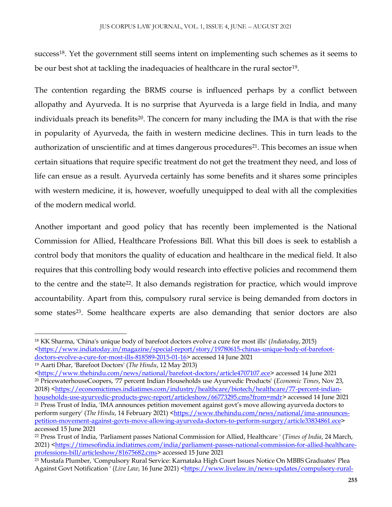success<sup>18</sup>. Yet the government still seems intent on implementing such schemes as it seems to be our best shot at tackling the inadequacies of healthcare in the rural sector<sup>19</sup>.

The contention regarding the BRMS course is influenced perhaps by a conflict between allopathy and Ayurveda. It is no surprise that Ayurveda is a large field in India, and many individuals preach its benefits<sup>20</sup>. The concern for many including the IMA is that with the rise in popularity of Ayurveda, the faith in western medicine declines. This in turn leads to the authorization of unscientific and at times dangerous procedures<sup>21</sup>. This becomes an issue when certain situations that require specific treatment do not get the treatment they need, and loss of life can ensue as a result. Ayurveda certainly has some benefits and it shares some principles with western medicine, it is, however, woefully unequipped to deal with all the complexities of the modern medical world.

Another important and good policy that has recently been implemented is the National Commission for Allied, Healthcare Professions Bill. What this bill does is seek to establish a control body that monitors the quality of education and healthcare in the medical field. It also requires that this controlling body would research into effective policies and recommend them to the centre and the state22. It also demands registration for practice, which would improve accountability. Apart from this, compulsory rural service is being demanded from doctors in some states<sup>23</sup>. Some healthcare experts are also demanding that senior doctors are also

 $\overline{\phantom{a}}$ 

<sup>18</sup> KK Sharma, 'China's unique body of barefoot doctors evolve a cure for most ills' (*Indiatoday*, 2015) [<https://www.indiatoday.in/magazine/special-report/story/19780615-chinas-unique-body-of-barefoot](https://www.indiatoday.in/magazine/special-report/story/19780615-chinas-unique-body-of-barefoot-doctors-evolve-a-cure-for-most-ills-818589-2015-01-16)[doctors-evolve-a-cure-for-most-ills-818589-2015-01-16>](https://www.indiatoday.in/magazine/special-report/story/19780615-chinas-unique-body-of-barefoot-doctors-evolve-a-cure-for-most-ills-818589-2015-01-16) accessed 14 June 2021

<sup>19</sup> Aarti Dhar, 'Barefoot Doctors' (*The Hindu*, 12 May 2013)

[<sup>&</sup>lt;https://www.thehindu.com/news/national/barefoot-doctors/article4707107.ece>](https://www.thehindu.com/news/national/barefoot-doctors/article4707107.ece) accessed 14 June 2021 <sup>20</sup> PricewaterhouseCoopers, '77 percent Indian Households use Ayurvedic Products' (*Economic Times*, Nov 23, 2018) [<https://economictimes.indiatimes.com/industry/healthcare/biotech/healthcare/77-percent-indian](https://economictimes.indiatimes.com/industry/healthcare/biotech/healthcare/77-percent-indian-households-use-ayurvedic-products-pwc-report/articleshow/66773295.cms?from=mdr)[households-use-ayurvedic-products-pwc-report/articleshow/66773295.cms?from=mdr>](https://economictimes.indiatimes.com/industry/healthcare/biotech/healthcare/77-percent-indian-households-use-ayurvedic-products-pwc-report/articleshow/66773295.cms?from=mdr) accessed 14 June 2021

<sup>21</sup> Press Trust of India, 'IMA announces petition movement against govt's move allowing ayurveda doctors to perform surgery' (*The Hindu*, 14 February 2021) [<https://www.thehindu.com/news/national/ima-announces](https://www.thehindu.com/news/national/ima-announces-petition-movement-against-govts-move-allowing-ayurveda-doctors-to-perform-surgery/article33834861.ece)[petition-movement-against-govts-move-allowing-ayurveda-doctors-to-perform-surgery/article33834861.ece>](https://www.thehindu.com/news/national/ima-announces-petition-movement-against-govts-move-allowing-ayurveda-doctors-to-perform-surgery/article33834861.ece) accessed 15 June 2021

<sup>22</sup> Press Trust of India, 'Parliament passes National Commission for Allied, Healthcare ' (*Times of India*, 24 March, 2021) [<https://timesofindia.indiatimes.com/india/parliament-passes-national-commission-for-allied-healthcare](https://timesofindia.indiatimes.com/india/parliament-passes-national-commission-for-allied-healthcare-professions-bill/articleshow/81675682.cms)[professions-bill/articleshow/81675682.cms>](https://timesofindia.indiatimes.com/india/parliament-passes-national-commission-for-allied-healthcare-professions-bill/articleshow/81675682.cms) accessed 15 June 2021

<sup>23</sup> Mustafa Plumber, 'Compulsory Rural Service: Karnataka High Court Issues Notice On MBBS Graduates' Plea Against Govt Notification ' (*Live Law*, 16 June 2021) [<https://www.livelaw.in/news-updates/compulsory-rural-](https://www.livelaw.in/news-updates/compulsory-rural-service-karnataka-high-court-issues-notice-on-mbbs-graduates-plea-against-govt-notification-175811)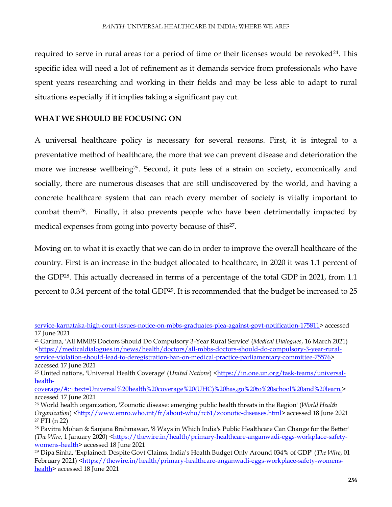required to serve in rural areas for a period of time or their licenses would be revoked<sup>24</sup>. This specific idea will need a lot of refinement as it demands service from professionals who have spent years researching and working in their fields and may be less able to adapt to rural situations especially if it implies taking a significant pay cut.

#### **WHAT WE SHOULD BE FOCUSING ON**

 $\overline{a}$ 

A universal healthcare policy is necessary for several reasons. First, it is integral to a preventative method of healthcare, the more that we can prevent disease and deterioration the more we increase wellbeing<sup>25</sup>. Second, it puts less of a strain on society, economically and socially, there are numerous diseases that are still undiscovered by the world, and having a concrete healthcare system that can reach every member of society is vitally important to combat them<sup>26</sup>. Finally, it also prevents people who have been detrimentally impacted by medical expenses from going into poverty because of this<sup>27</sup>.

Moving on to what it is exactly that we can do in order to improve the overall healthcare of the country. First is an increase in the budget allocated to healthcare, in 2020 it was 1.1 percent of the GDP28. This actually decreased in terms of a percentage of the total GDP in 2021, from 1.1 percent to 0.34 percent of the total GDP<sup>29</sup>. It is recommended that the budget be increased to 25

[service-karnataka-high-court-issues-notice-on-mbbs-graduates-plea-against-govt-notification-175811>](https://www.livelaw.in/news-updates/compulsory-rural-service-karnataka-high-court-issues-notice-on-mbbs-graduates-plea-against-govt-notification-175811) accessed 17 June 2021

<sup>24</sup> Garima, 'All MMBS Doctors Should Do Compulsory 3-Year Rural Service' (*Medical Dialogues*, 16 March 2021) [<https://medicaldialogues.in/news/health/doctors/all-mbbs-doctors-should-do-compulsory-3-year-rural](https://medicaldialogues.in/news/health/doctors/all-mbbs-doctors-should-do-compulsory-3-year-rural-service-violation-should-lead-to-deregistration-ban-on-medical-practice-parliamentary-committee-75576)[service-violation-should-lead-to-deregistration-ban-on-medical-practice-parliamentary-committee-75576>](https://medicaldialogues.in/news/health/doctors/all-mbbs-doctors-should-do-compulsory-3-year-rural-service-violation-should-lead-to-deregistration-ban-on-medical-practice-parliamentary-committee-75576) accessed 17 June 2021

<sup>&</sup>lt;sup>25</sup> United nations, 'Universal Health Coverage' (*United Nations*) [<https://in.one.un.org/task-teams/universal](https://in.one.un.org/task-teams/universal-health-coverage/#:~:text=Universal%20health%20coverage%20(UHC)%20has,go%20to%20school%20and%20learn.)[health-](https://in.one.un.org/task-teams/universal-health-coverage/#:~:text=Universal%20health%20coverage%20(UHC)%20has,go%20to%20school%20and%20learn.)

[coverage/#:~:text=Universal%20health%20coverage%20\(UHC\)%20has,go%20to%20school%20and%20learn.>](https://in.one.un.org/task-teams/universal-health-coverage/#:~:text=Universal%20health%20coverage%20(UHC)%20has,go%20to%20school%20and%20learn.) accessed 17 June 2021

<sup>26</sup> World health organization, 'Zoonotic disease: emerging public health threats in the Region' (*World Health Organization*) [<http://www.emro.who.int/fr/about-who/rc61/zoonotic-diseases.html>](http://www.emro.who.int/fr/about-who/rc61/zoonotic-diseases.html) accessed 18 June 2021 <sup>27</sup> PTI (n 22)

<sup>28</sup> Pavitra Mohan & Sanjana Brahmawar, '8 Ways in Which India's Public Healthcare Can Change for the Better' (*The Wire*, 1 January 2020) [<https://thewire.in/health/primary-healthcare-anganwadi-eggs-workplace-safety](https://thewire.in/health/primary-healthcare-anganwadi-eggs-workplace-safety-womens-health)[womens-health>](https://thewire.in/health/primary-healthcare-anganwadi-eggs-workplace-safety-womens-health) accessed 18 June 2021

<sup>29</sup> Dipa Sinha, 'Explained: Despite Govt Claims, India's Health Budget Only Around 034% of GDP' (*The Wire*, 01 February 2021) [<https://thewire.in/health/primary-healthcare-anganwadi-eggs-workplace-safety-womens](https://thewire.in/health/primary-healthcare-anganwadi-eggs-workplace-safety-womens-health)[health>](https://thewire.in/health/primary-healthcare-anganwadi-eggs-workplace-safety-womens-health) accessed 18 June 2021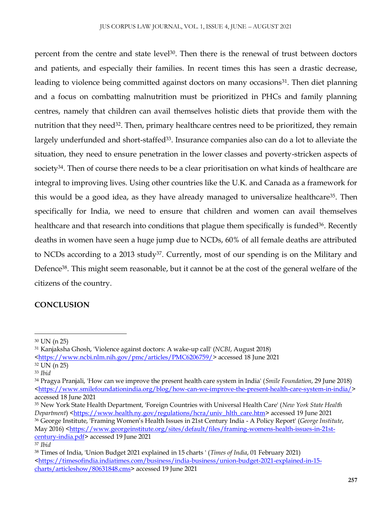percent from the centre and state level<sup>30</sup>. Then there is the renewal of trust between doctors and patients, and especially their families. In recent times this has seen a drastic decrease, leading to violence being committed against doctors on many occasions<sup>31</sup>. Then diet planning and a focus on combatting malnutrition must be prioritized in PHCs and family planning centres, namely that children can avail themselves holistic diets that provide them with the nutrition that they need<sup>32</sup>. Then, primary healthcare centres need to be prioritized, they remain largely underfunded and short-staffed<sup>33</sup>. Insurance companies also can do a lot to alleviate the situation, they need to ensure penetration in the lower classes and poverty-stricken aspects of society<sup>34</sup>. Then of course there needs to be a clear prioritisation on what kinds of healthcare are integral to improving lives. Using other countries like the U.K. and Canada as a framework for this would be a good idea, as they have already managed to universalize healthcare<sup>35</sup>. Then specifically for India, we need to ensure that children and women can avail themselves healthcare and that research into conditions that plague them specifically is funded<sup>36</sup>. Recently deaths in women have seen a huge jump due to NCDs, 60% of all female deaths are attributed to NCDs according to a 2013 study37. Currently, most of our spending is on the Military and Defence<sup>38</sup>. This might seem reasonable, but it cannot be at the cost of the general welfare of the citizens of the country.

## **CONCLUSION**

 $\overline{\phantom{a}}$ 

<sup>30</sup> UN (n 25)

<sup>31</sup> Kanjaksha Ghosh, 'Violence against doctors: A wake-up call' (*NCBI*, August 2018)

[<sup>&</sup>lt;https://www.ncbi.nlm.nih.gov/pmc/articles/PMC6206759/>](https://www.ncbi.nlm.nih.gov/pmc/articles/PMC6206759/) accessed 18 June 2021

<sup>32</sup> UN (n 25)

<sup>33</sup> *Ibid*

<sup>34</sup> Pragya Pranjali, 'How can we improve the present health care system in India' (*Smile Foundation*, 29 June 2018) [<https://www.smilefoundationindia.org/blog/how-can-we-improve-the-present-health-care-system-in-india/>](https://www.smilefoundationindia.org/blog/how-can-we-improve-the-present-health-care-system-in-india/) accessed 18 June 2021

<sup>35</sup> New York State Health Department, 'Foreign Countries with Universal Health Care' (*New York State Health Department*) [<https://www.health.ny.gov/regulations/hcra/univ\\_hlth\\_care.htm>](https://www.health.ny.gov/regulations/hcra/univ_hlth_care.htm) accessed 19 June 2021 <sup>36</sup> George Institute, 'Framing Women's Health Issues in 21st Century India - A Policy Report' (*George Institute*, May 2016) [<https://www.georgeinstitute.org/sites/default/files/framing-womens-health-issues-in-21st](https://www.georgeinstitute.org/sites/default/files/framing-womens-health-issues-in-21st-century-india.pdf)[century-india.pdf>](https://www.georgeinstitute.org/sites/default/files/framing-womens-health-issues-in-21st-century-india.pdf) accessed 19 June 2021 <sup>37</sup> *Ibid*

<sup>38</sup> Times of India, 'Union Budget 2021 explained in 15 charts ' (*Times of India*, 01 February 2021) [<https://timesofindia.indiatimes.com/business/india-business/union-budget-2021-explained-in-15](https://timesofindia.indiatimes.com/business/india-business/union-budget-2021-explained-in-15-charts/articleshow/80631848.cms) [charts/articleshow/80631848.cms>](https://timesofindia.indiatimes.com/business/india-business/union-budget-2021-explained-in-15-charts/articleshow/80631848.cms) accessed 19 June 2021